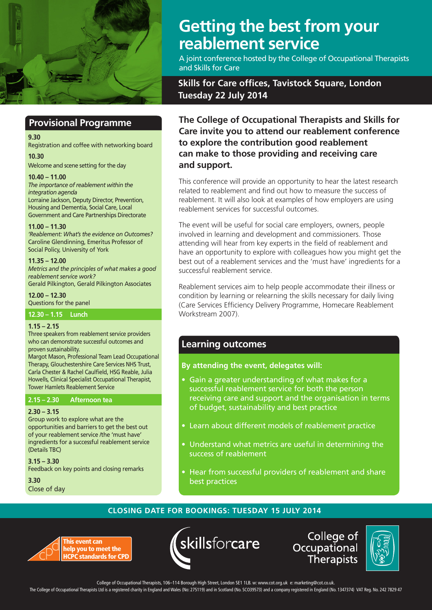

## **Provisional Programme**

#### **9.30**

Registration and coffee with networking board

**10.30**

Welcome and scene setting for the day

**10.40 – 11.00** *The importance of reablement within the integration agenda* Lorraine Jackson, Deputy Director, Prevention, Housing and Dementia, Social Care, Local Government and Care Partnerships Directorate

**11.00 – 11.30**  *'Reablement: What's the evidence on Outcomes?* Caroline Glendinning, Emeritus Professor of Social Policy, University of York

### **11.35 – 12.00**

*Metrics and the principles of what makes a good reablement service work?* Gerald Pilkington, Gerald Pilkington Associates

**12.00 – 12.30** Questions for the panel

**12.30 – 1.15 Lunch**

### **1.15 – 2.15**

Three speakers from reablement service providers who can demonstrate successful outcomes and proven sustainability.

Margot Mason, Professional Team Lead Occupational Therapy, Glouchestershire Care Services NHS Trust, Carla Chester & Rachel Caulfield, HSG Reable, Julia Howells, Clinical Specialist Occupational Therapist, Tower Hamlets Reablement Service

### **2.15 – 2.30 Afternoon tea**

### **2.30 – 3.15**

Group work to explore what are the opportunities and barriers to get the best out of your reablement service /the 'must have' ingredients for a successful reablement service (Details TBC)

**3.15 – 3.30** Feedback on key points and closing remarks

**3.30** Close of day

# **Getting the best from your reablement service**

A joint conference hosted by the College of Occupational Therapists and Skills for Care

## **Skills for Care offices, Tavistock Square, London Tuesday 22 July 2014**

**The College of Occupational Therapists and Skills for Care invite you to attend our reablement conference to explore the contribution good reablement can make to those providing and receiving care and support.**

This conference will provide an opportunity to hear the latest research related to reablement and find out how to measure the success of reablement. It will also look at examples of how employers are using reablement services for successful outcomes.

The event will be useful for social care employers, owners, people involved in learning and development and commissioners. Those attending will hear from key experts in the field of reablement and have an opportunity to explore with colleagues how you might get the best out of a reablement services and the 'must have' ingredients for a successful reablement service.

Reablement services aim to help people accommodate their illness or condition by learning or relearning the skills necessary for daily living (Care Services Efficiency Delivery Programme, Homecare Reablement Workstream 2007).

### **Learning outcomes**

**By attending the event, delegates will:**

- Gain a greater understanding of what makes for a successful reablement service for both the person receiving care and support and the organisation in terms of budget, sustainability and best practice
- Learn about different models of reablement practice
- Understand what metrics are useful in determining the success of reablement
- Hear from successful providers of reablement and share best practices

### **CLOSING DATE FOR BOOKINGS: TUESDAY 15 JULY 2014**





College of Occupational **Therapists** 



help you to meet the College of Occupational Therapists, 106–114 Borough High Street, London SE1 1LB. w: www.cot.org.uk e: marketing@cot.co.uk.

The College of Occupational Therapists Ltd is a registered charity in England and Wales (No: 275119) and in Scotland (No. SCO39573) and a company registered in England (No. 1347374) VAT Reg. No. 242 7829 47